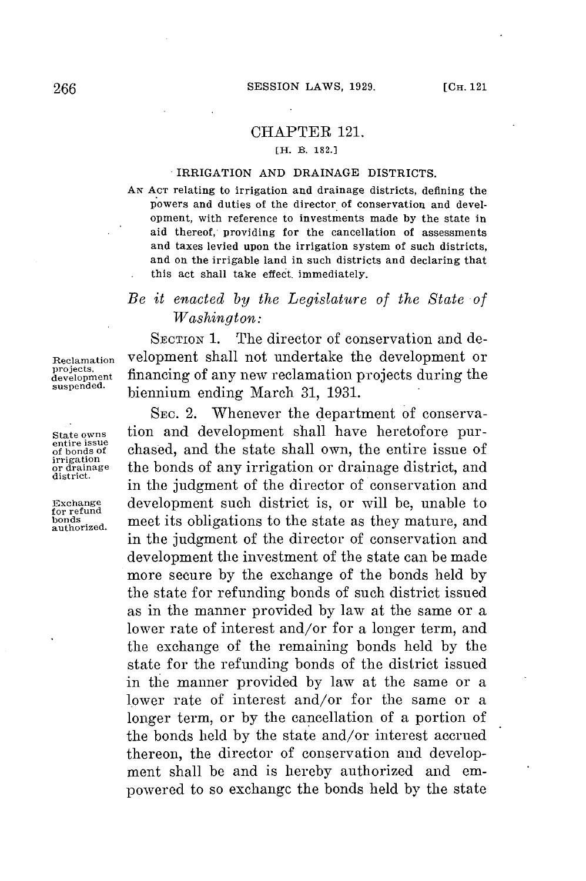## CHAPTER 121.

## **[H. B. 182.]**

## IRRIGATION **AND** DRAINAGE DISTRICTS.

**AN ACT** relating to irrigation and drainage districts, defining the powers and duties **of** the director **of** conservation and development, with reference to investments made **by** the state in aid thereof, providing for the cancellation of assessments and taxes levied upon the irrigation system of such districts, and on the irrigable land in such districts and declaring that this act shall take effect. immediately.

## *Be it enacted by the Legislature of the State of Washington:*

SECTION **1.** The director of conservation and de-Reclamation velopment shall not undertake the development or projects.<br>development financing of any new reclamation projects during the<br>suspended. biomium onding March 21, 1921 biennium ending March 31, 1931.

SEc. 2. Whenever the department of conserva-State owns tion and development shall have heretofore pur-<br>
of bonds of chased, and the state shall own, the entire issue of entire issue<br>
of bonds of chased, and the state shall own, the entire issue of<br>
or drainage the bonds of any irrigation or drainage district, and  $\frac{\text{arg}_\text{data}}{\text{distance}}$  the bonds of any irrigation or drainage district, and in the judgment of the director of conservation and Exchange development such district is, or will be, unable to **for** refund bonds meet its obligations to the state as they mature, and in the judgment of the director of conservation and development the investment of the state can be made more secure **by** the exchange of the bonds held **by** the state **for** refunding bonds of such district issued as in the manner provided **by** law at the same or a lower rate of interest and/or for a longer term, and the exchange of the remaining bonds held **by** the state for the refunding bonds of the district issued in the manner provided **by** law at the same or a lower rate of interest and/or for the same or a longer term, or **by** the cancellation of a portion of the bonds held **by** the state and/or interest accrued thereon, the director of conservation and development shall be and is hereby authorized and empowered to so exchange the bonds held **by** the state

projects,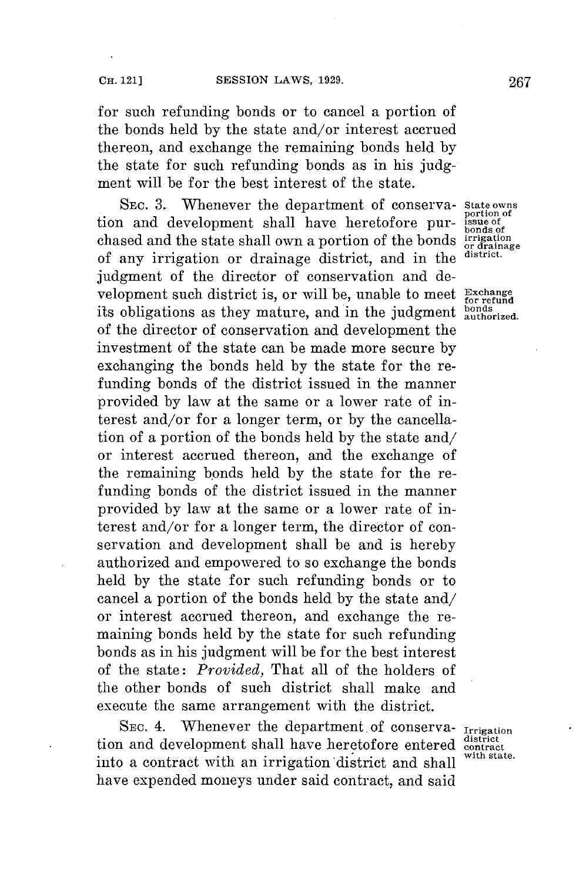**for** such refunding bonds or to cancel a portion of the bonds held **by** the state and/or interest accrued thereon, and exchange the remaining bonds held **by** the state **for** such refunding bonds as in his **judg**ment will be **for** the best interest of the state.

SEC. 3. Whenever the department of conserva- State owns<br>and development, shall have heretofore purtion and development shall have heretofore pur-<br>chased and the state shall own a portion of the bonds irrigation chased and the state shall own a portion of the bonds **irrigation or drainage** of any irrigation or drainage district, and in the **district.** judgment of the director of conservation and development such district is, or will be, unable to meet **Exchange** its obligations as they mature, and in the judgment  $_{\text{authorized.}}^{\text{bonds}}$ of the director of conservation and development the investment of the state can be made more secure **by** exchanging the bonds held **by** the state **for** the refunding bonds of the district issued in the manner provided **by** law at the same or a lower rate of interest and/or for a longer term, or **by** the cancellation of a portion of the bonds held **by** the state and/ or interest accrued thereon, and the exchange of the remaining bonds held **by** the state for the refunding bonds of the district issued in the manner provided **by** law at the same or a lower rate of interest and/or for a longer term, the director of conservation and development shall be and is hereby authorized and empowered to so exchange the bonds held **by** the state **for** such refunding bonds or to cancel a portion of the bonds held **by** the state and/ or interest accrued thereon, and exchange the remaining bonds held **by** the state for such refunding bonds as in his judgment will be **for** the best interest of the state: *Provided,* That all of the holders of the other bonds of such district shall make and execute the same arrangement with the district.

**SEC.** 4. Whenever the department. of conserva- **Irrigation** tion and development shall have heretofore entered contract contract contract contract to the state. into a contract with an irrigation district and shall have expended moneys under said contract, and said